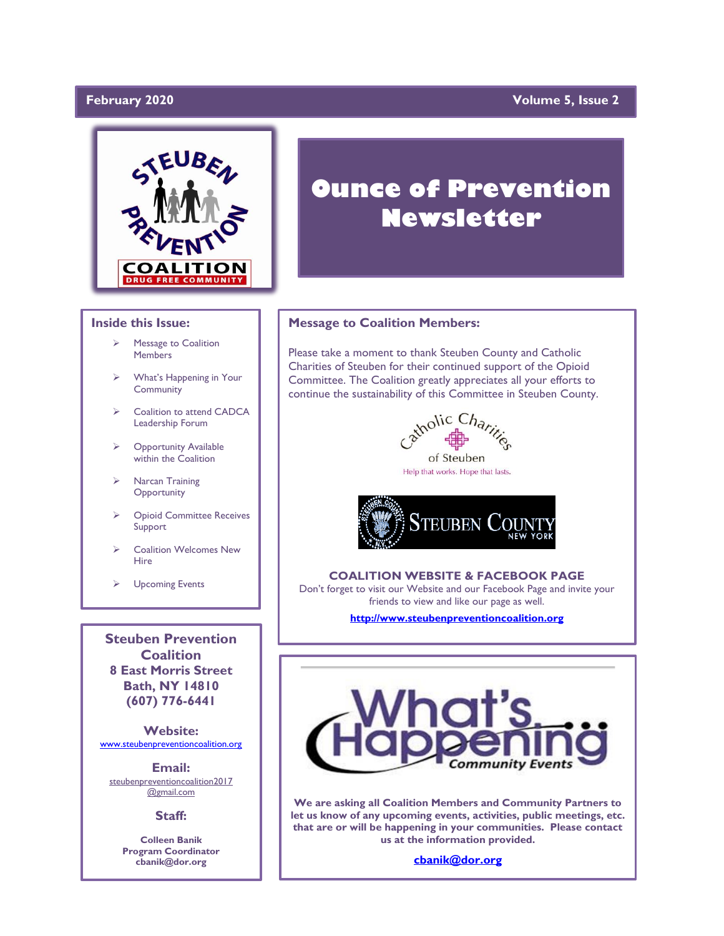# February 2020

# **Yolume 5, Issue 2**



#### **Inside this Issue:**

- Message to Coalition **Members**
- What's Happening in Your **Community**
- ➢ Coalition to attend CADCA Leadership Forum
- ➢ Opportunity Available within the Coalition
- ➢ Narcan Training **Opportunity**
- ➢ Opioid Committee Receives Support
- ➢ Coalition Welcomes New Hire
- ➢ Upcoming Events

**Steuben Prevention Coalition 8 East Morris Street Bath, NY 14810 (607) 776-6441**

**Website:**  [www.steubenpreventioncoalition.org](http://www.steubenpreventioncoalition.org/)

**Email:**  steubenpreventioncoalition2017 @gmail.com

**Staff:**

**Colleen Banik Program Coordinator cbanik@dor.org**

# **Ounce of Prevention Newsletter**

### **Message to Coalition Members:**

Please take a moment to thank Steuben County and Catholic Charities of Steuben for their continued support of the Opioid Committee. The Coalition greatly appreciates all your efforts to continue the sustainability of this Committee in Steuben County.



Help that works. Hope that lasts.



### **COALITION WEBSITE & FACEBOOK PAGE**

Don't forget to visit our Website and our Facebook Page and invite your friends to view and like our page as well.

**[http://www.steubenpreventioncoalition.org](http://www.steubenpreventioncoalition.org/)**



**We are asking all Coalition Members and Community Partners to let us know of any upcoming events, activities, public meetings, etc. that are or will be happening in your communities. Please contact us at the information provided.**

**[cbanik@dor.org](mailto:cbanik@dor.org)**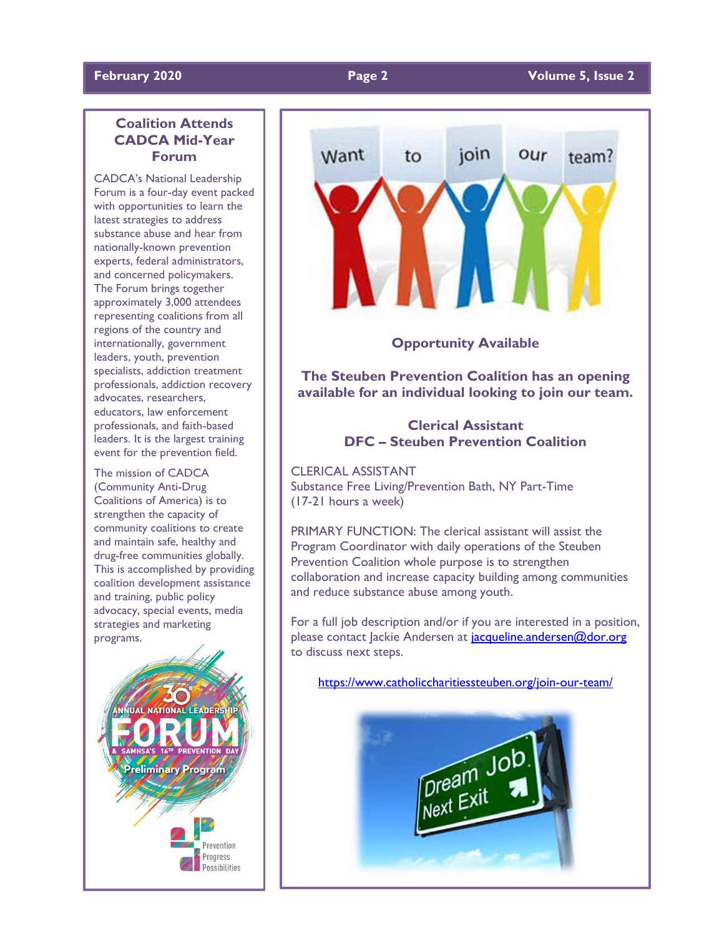# **Coalition Attends CADCA Mid-Year Forum**

CADCA's National Leadership Forum is a four-day event packed with opportunities to learn the latest strategies to address substance abuse and hear from nationally-known prevention experts, federal administrators, and concerned policymakers. The Forum brings together approximately 3,000 attendees representing coalitions from all regions of the country and internationally, government leaders, youth, prevention specialists, addiction treatment professionals, addiction recovery advocates, researchers, educators, law enforcement professionals, and faith-based leaders. It is the largest training event for the prevention field.

The mission of CADCA (Community Anti-Drug Coalitions of America) is to strengthen the capacity of community coalitions to create and maintain safe, healthy and drug-free communities globally. This is accomplished by providing coalition development assistance and training, public policy advocacy, special events, media strategies and marketing programs.





**Opportunity Available**

**The Steuben Prevention Coalition has an opening available for an individual looking to join our team.**

# **Clerical Assistant DFC – Steuben Prevention Coalition**

CLERICAL ASSISTANT Substance Free Living/Prevention Bath, NY Part-Time (17-21 hours a week)

PRIMARY FUNCTION: The clerical assistant will assist the Program Coordinator with daily operations of the Steuben Prevention Coalition whole purpose is to strengthen collaboration and increase capacity building among communities and reduce substance abuse among youth.

For a full job description and/or if you are interested in a position, please contact Jackie Andersen at jacqueline.andersen@dor.org to discuss next steps.

<https://www.catholiccharitiessteuben.org/join-our-team/>

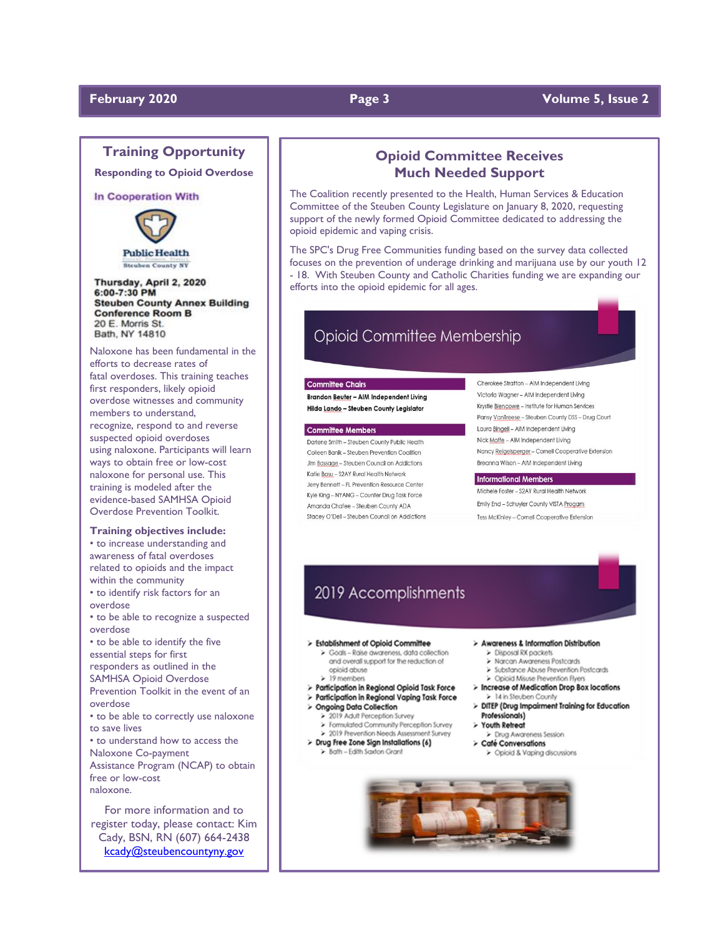# **February 2020 Page 3 Volume 5, Issue 2**

# **Training Opportunity**

**Responding to Opioid Overdose**

### In Cooperation With



Thursday, April 2, 2020 6:00-7:30 PM **Steuben County Annex Building Conference Room B** 20 E. Morris St. Bath, NY 14810

Naloxone has been fundamental in the efforts to decrease rates of fatal overdoses. This training teaches first responders, likely opioid overdose witnesses and community members to understand, recognize, respond to and reverse suspected opioid overdoses using naloxone. Participants will learn ways to obtain free or low-cost naloxone for personal use. This training is modeled after the evidence-based SAMHSA Opioid Overdose Prevention Toolkit.

### **Training objectives include:**

• to increase understanding and awareness of fatal overdoses related to opioids and the impact within the community • to identify risk factors for an overdose • to be able to recognize a suspected overdose • to be able to identify the five essential steps for first responders as outlined in the SAMHSA Opioid Overdose Prevention Toolkit in the event of an overdose • to be able to correctly use naloxone to save lives • to understand how to access the Naloxone Co-payment Assistance Program (NCAP) to obtain free or low-cost naloxone. For more information and to

register today, please contact: Kim Cady, BSN, RN (607) 664-2438 [kcady@steubencountyny.gov](mailto:kcady@steubencountyny.gov)

# **Opioid Committee Receives Much Needed Support**

The Coalition recently presented to the Health, Human Services & Education Committee of the Steuben County Legislature on January 8, 2020, requesting support of the newly formed Opioid Committee dedicated to addressing the opioid epidemic and vaping crisis.

The SPC's Drug Free Communities funding based on the survey data collected focuses on the prevention of underage drinking and marijuana use by our youth 12 - 18. With Steuben County and Catholic Charities funding we are expanding our efforts into the opioid epidemic for all ages.

# **Opioid Committee Membership**

### **Committee Chairs**

Brandon Beuter - AIM Independent Living Hilda Lando - Steuben County Legislator

#### **Committee Members**

Darlene Smith - Steuben County Public Health Colleen Banik - Steuben Prevention Coalition Jim Bassage - Steuben Council on Addictions Katie Basu - S2AY Rural Health Network Jerry Bennett - FL Prevention Resource Center Kyle King - NYANG - Counter Drug Task Force Amanda Chafee - Steuben County ADA Stacey O'Dell - Steuben Council on Addictions Cherokee Stratton - AIM Independent Living Victoria Waaner - AIM Independent Livina Krystle Blencowe - Institute for Human Services Pansy VanTreese - Steuben County DSS - Drug Court Laura Bingell - AIM Independent Living Nick Moffe - AIM Independent Living Nancy Reigelsperger - Cornell Cooperative Extension Breanna Wilson - AIM Independent Living

#### **Informational Members**

Michele Foster - S2AY Rural Health Network Emily End - Schuyler County VISTA Progam Tess McKinley - Cornell Cooperative Extension

# 2019 Accomplishments

#### > Establishment of Opioid Committee

- > Goals Raise awareness, data collection
- and overall support for the reduction of opioid abuse
- $\geq 19$  members
- 
- > Participation in Regional Opioid Task Force > Participation in Regional Vaping Task Force
- > Ongoing Data Collection

#### > 2019 Adult Perception Survey

- > Formulated Community Perception Survey
- > 2019 Prevention Needs Assessment Survey
- > Drug Free Zone Sign Installations (6) Bath - Edith Saxton Grant
- > Awareness & Information Distribution
	- > Disposal RX packets > Narcan Awareness Postcards
		-
	- > Substance Abuse Prevention Postcards > Opioid Misuse Prevention Flyers
- > Increase of Medication Drop Box locations > 14 in Steuben County
- > DITEP (Drug Impairment Training for Education Professionals)
- > Youth Retreat
- > Drug Awgreness Session
- > Caté Conversations > Opioid & Vaping discussions
-